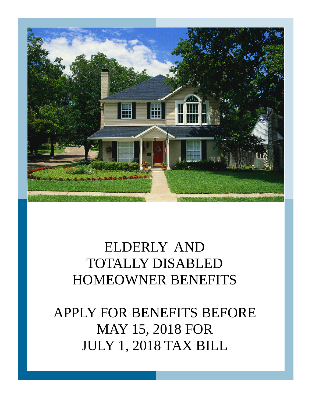

# ELDERLY AND TOTALLY DISABLED HOMEOWNER BENEFITS

APPLY FOR BENEFITS BEFORE MAY 15, 2018 FOR JULY 1, 2018 TAX BILL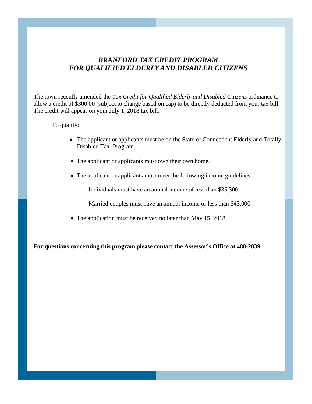### *FOR QUALIFIED ELDERLY AND DISABLED CITIZENSBRANFORD TAX CREDIT PROGRAM*

The town recently amended the *Tax Credit for Qualified Elderly and Disabled Citizens* ordinance to allow a credit of \$300.00 (subject to change based on cap) to be directly deducted from your tax bill. The credit will appear on your July 1, 2018 tax bill.

To qualify:

- The applicant or applicants must be on the State of Connecticut Elderly and Totally Disabled Tax Program.
- The applicant or applicants must own their own home.
- The applicant or applicants must meet the following income guidelines:

Individuals must have an annual income of less than \$35,300

Married couples must have an annual income of less than \$43,000

• The application must be received no later than May 15, 2018.

**For questions concerning this program please contact the Assessor's Office at 488-2039.**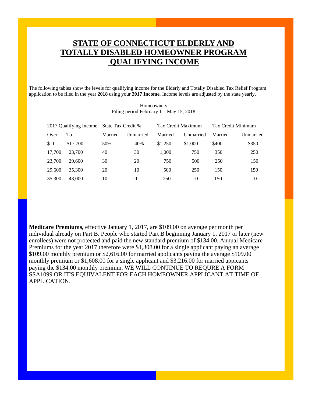## **STATE OF CONNECTICUT ELDERLY AND TOTALLY DISABLED HOMEOWNER PROGRAM QUALIFYING INCOME**

The following tables show the levels for qualifying income for the Elderly and Totally Disabled Tax Relief Program application to be filed in the year **2018** using your **2017 Income**. Income levels are adjusted by the state yearly.

| 2017 Qualifying Income |          | State Tax Credit % |           | Tax Credit Maximum |           | Tax Credit Minimum |           |
|------------------------|----------|--------------------|-----------|--------------------|-----------|--------------------|-----------|
| Over                   | Tо       | Married            | Unmarried | Married            | Unmarried | Married            | Unmarried |
| $$-0$                  | \$17,700 | 50%                | 40%       | \$1,250            | \$1,000   | \$400              | \$350     |
| 17,700                 | 23,700   | 40                 | 30        | 1.000              | 750       | 350                | 250       |
| 23,700                 | 29,600   | 30                 | 20        | 750                | 500       | 250                | 150       |
| 29,600                 | 35,300   | 20                 | 10        | 500                | 250       | 150                | 150       |
| 35,300                 | 43,000   | 10                 | $-()$ -   | 250                | -0-       | 150                | $-()$     |

Homeowners Filing period February 1 – May 15, 2018

**Medicare Premiums,** effective January 1, 2017, are \$109.00 on average per month per individual already on Part B. People who started Part B beginning January 1, 2017 or later (new enrollees) were not protected and paid the new standard premium of \$134.00. Annual Medicare Premiums for the year 2017 therefore were \$1,308.00 for a single applicant paying an average \$109.00 monthly premium or \$2,616.00 for married applicants paying the average \$109.00 monthly premium or \$1,608.00 for a single applicant and \$3,216.00 for married appicants paying the \$134.00 monthly premium. WE WILL CONTINUE TO REQURE A FORM SSA1099 OR IT'S EQUIVALENT FOR EACH HOMEOWNER APPLICANT AT TIME OF APPLICATION.